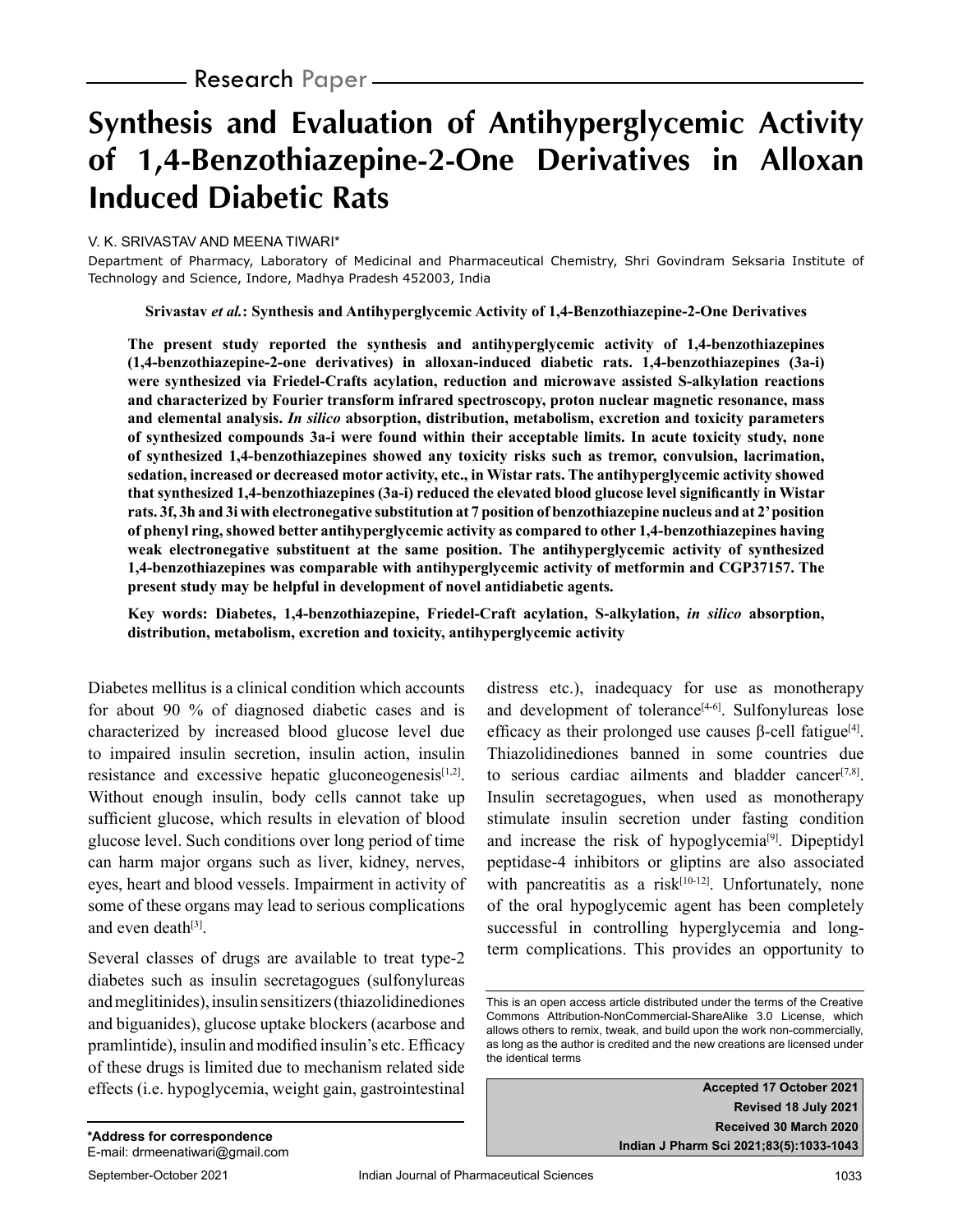# **Synthesis and Evaluation of Antihyperglycemic Activity of 1,4-Benzothiazepine-2-One Derivatives in Alloxan Induced Diabetic Rats**

## V. K. SRIVASTAV AND MEENA TIWARI\*

Department of Pharmacy, Laboratory of Medicinal and Pharmaceutical Chemistry, Shri Govindram Seksaria Institute of Technology and Science, Indore, Madhya Pradesh 452003, India

**Srivastav** *et al.***: Synthesis and Antihyperglycemic Activity of 1,4-Benzothiazepine-2-One Derivatives**

**The present study reported the synthesis and antihyperglycemic activity of 1,4-benzothiazepines (1,4-benzothiazepine-2-one derivatives) in alloxan-induced diabetic rats. 1,4-benzothiazepines (3a-i) were synthesized via Friedel-Crafts acylation, reduction and microwave assisted S-alkylation reactions and characterized by Fourier transform infrared spectroscopy, proton nuclear magnetic resonance, mass and elemental analysis.** *In silico* **absorption, distribution, metabolism, excretion and toxicity parameters of synthesized compounds 3a-i were found within their acceptable limits. In acute toxicity study, none of synthesized 1,4-benzothiazepines showed any toxicity risks such as tremor, convulsion, lacrimation, sedation, increased or decreased motor activity, etc., in Wistar rats. The antihyperglycemic activity showed that synthesized 1,4-benzothiazepines (3a-i) reduced the elevated blood glucose level significantly in Wistar rats. 3f, 3h and 3i with electronegative substitution at 7 position of benzothiazepine nucleus and at 2' position of phenyl ring, showed better antihyperglycemic activity as compared to other 1,4-benzothiazepines having weak electronegative substituent at the same position. The antihyperglycemic activity of synthesized 1,4-benzothiazepines was comparable with antihyperglycemic activity of metformin and CGP37157. The present study may be helpful in development of novel antidiabetic agents.**

**Key words: Diabetes, 1,4-benzothiazepine, Friedel-Craft acylation, S-alkylation,** *in silico* **absorption, distribution, metabolism, excretion and toxicity, antihyperglycemic activity**

Diabetes mellitus is a clinical condition which accounts for about 90 % of diagnosed diabetic cases and is characterized by increased blood glucose level due to impaired insulin secretion, insulin action, insulin resistance and excessive hepatic gluconeogenesis<sup>[1,2]</sup>. Without enough insulin, body cells cannot take up sufficient glucose, which results in elevation of blood glucose level. Such conditions over long period of time can harm major organs such as liver, kidney, nerves, eyes, heart and blood vessels. Impairment in activity of some of these organs may lead to serious complications and even death<sup>[3]</sup>.

Several classes of drugs are available to treat type-2 diabetes such as insulin secretagogues (sulfonylureas and meglitinides), insulin sensitizers (thiazolidinediones and biguanides), glucose uptake blockers (acarbose and pramlintide), insulin and modified insulin's etc. Efficacy of these drugs is limited due to mechanism related side effects (i.e. hypoglycemia, weight gain, gastrointestinal distress etc.), inadequacy for use as monotherapy and development of tolerance $[4-6]$ . Sulfonylureas lose efficacy as their prolonged use causes β-cell fatigue<sup>[4]</sup>. Thiazolidinediones banned in some countries due to serious cardiac ailments and bladder cancer $[7,8]$ . Insulin secretagogues, when used as monotherapy stimulate insulin secretion under fasting condition and increase the risk of hypoglycemia[9]. Dipeptidyl peptidase-4 inhibitors or gliptins are also associated with pancreatitis as a risk $[10-12]$ . Unfortunately, none of the oral hypoglycemic agent has been completely successful in controlling hyperglycemia and longterm complications. This provides an opportunity to

**Accepted 17 October 2021 Revised 18 July 2021 Received 30 March 2020 Indian J Pharm Sci 2021;83(5):1033-1043**

This is an open access article distributed under the terms of the Creative Commons Attribution-NonCommercial-ShareAlike 3.0 License, which allows others to remix, tweak, and build upon the work non-commercially, as long as the author is credited and the new creations are licensed under the identical terms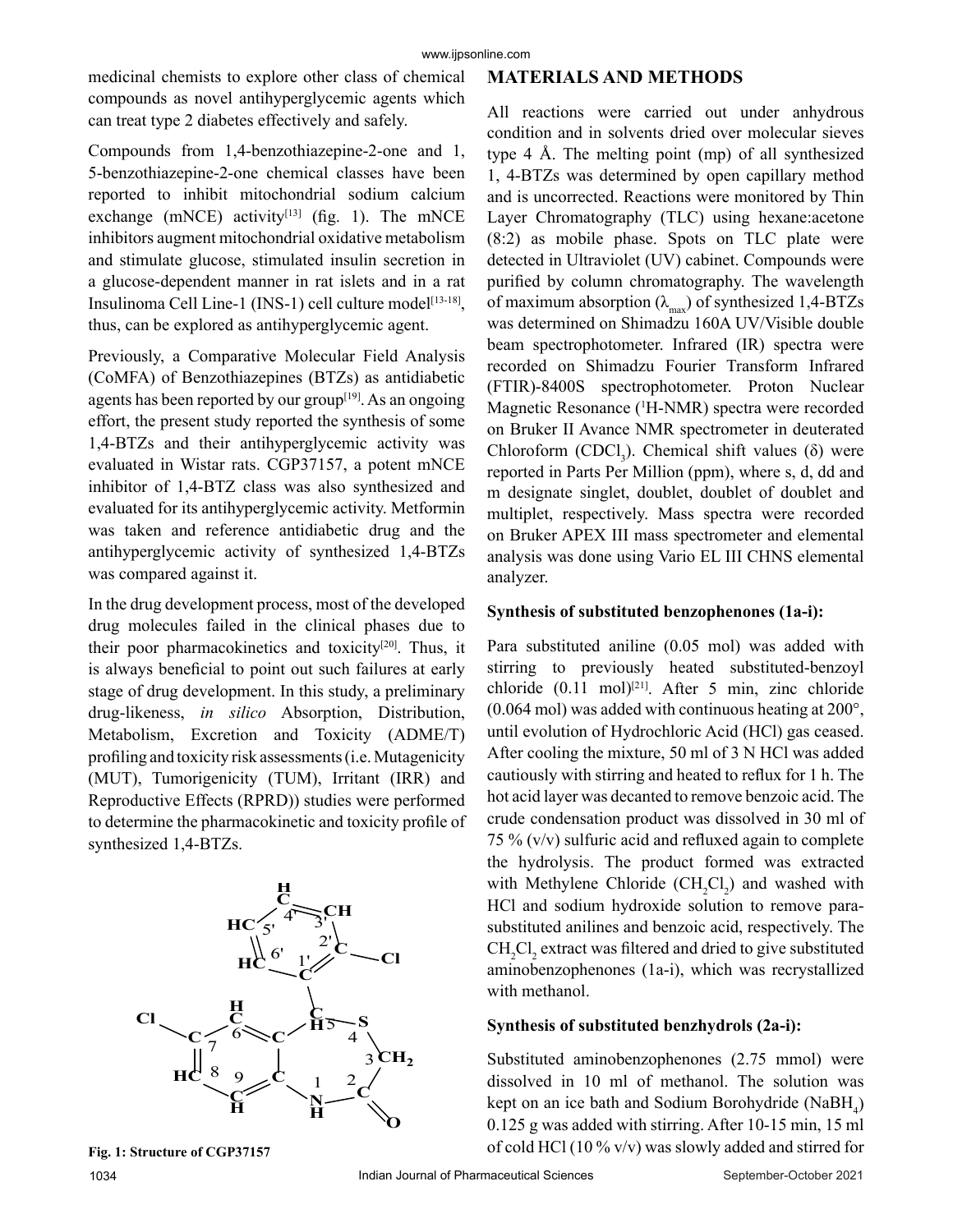medicinal chemists to explore other class of chemical compounds as novel antihyperglycemic agents which can treat type 2 diabetes effectively and safely.

Compounds from 1,4-benzothiazepine-2-one and 1, 5-benzothiazepine-2-one chemical classes have been reported to inhibit mitochondrial sodium calcium exchange (mNCE) activity<sup>[13]</sup> (fig. 1). The mNCE inhibitors augment mitochondrial oxidative metabolism and stimulate glucose, stimulated insulin secretion in a glucose-dependent manner in rat islets and in a rat Insulinoma Cell Line-1 (INS-1) cell culture model<sup>[13-18]</sup>, thus, can be explored as antihyperglycemic agent.

Previously, a Comparative Molecular Field Analysis (CoMFA) of Benzothiazepines (BTZs) as antidiabetic agents has been reported by our group $[19]$ . As an ongoing effort, the present study reported the synthesis of some 1,4-BTZs and their antihyperglycemic activity was evaluated in Wistar rats. CGP37157, a potent mNCE inhibitor of 1,4-BTZ class was also synthesized and evaluated for its antihyperglycemic activity. Metformin was taken and reference antidiabetic drug and the antihyperglycemic activity of synthesized 1,4-BTZs was compared against it.

In the drug development process, most of the developed drug molecules failed in the clinical phases due to their poor pharmacokinetics and toxicity<sup>[20]</sup>. Thus, it is always beneficial to point out such failures at early stage of drug development. In this study, a preliminary drug-likeness, *in silico* Absorption, Distribution, Metabolism, Excretion and Toxicity (ADME/T) profiling and toxicity risk assessments (i.e. Mutagenicity (MUT), Tumorigenicity (TUM), Irritant (IRR) and Reproductive Effects (RPRD)) studies were performed to determine the pharmacokinetic and toxicity profile of synthesized 1,4-BTZs.



**Fig. 1: Structure of CGP37157**

# **MATERIALS AND METHODS**

All reactions were carried out under anhydrous condition and in solvents dried over molecular sieves type 4 Å. The melting point (mp) of all synthesized 1, 4-BTZs was determined by open capillary method and is uncorrected. Reactions were monitored by Thin Layer Chromatography (TLC) using hexane:acetone (8:2) as mobile phase. Spots on TLC plate were detected in Ultraviolet (UV) cabinet. Compounds were purified by column chromatography. The wavelength of maximum absorption  $(\lambda_{max})$  of synthesized 1,4-BTZs was determined on Shimadzu 160A UV/Visible double beam spectrophotometer. Infrared (IR) spectra were recorded on Shimadzu Fourier Transform Infrared (FTIR)-8400S spectrophotometer. Proton Nuclear Magnetic Resonance (1 H-NMR) spectra were recorded on Bruker II Avance NMR spectrometer in deuterated Chloroform (CDCl<sub>3</sub>). Chemical shift values ( $\delta$ ) were reported in Parts Per Million (ppm), where s, d, dd and m designate singlet, doublet, doublet of doublet and multiplet, respectively. Mass spectra were recorded on Bruker APEX III mass spectrometer and elemental analysis was done using Vario EL III CHNS elemental analyzer.

### **Synthesis of substituted benzophenones (1a-i):**

Para substituted aniline (0.05 mol) was added with stirring to previously heated substituted-benzoyl chloride  $(0.11 \text{ mol})^{[21]}$ . After 5 min, zinc chloride (0.064 mol) was added with continuous heating at 200°, until evolution of Hydrochloric Acid (HCl) gas ceased. After cooling the mixture, 50 ml of 3 N HCl was added cautiously with stirring and heated to reflux for 1 h. The hot acid layer was decanted to remove benzoic acid. The crude condensation product was dissolved in 30 ml of 75 % (v/v) sulfuric acid and refluxed again to complete the hydrolysis. The product formed was extracted with Methylene Chloride  $(CH_2Cl_2)$  and washed with HCl and sodium hydroxide solution to remove parasubstituted anilines and benzoic acid, respectively. The  $CH_2Cl_2$  extract was filtered and dried to give substituted aminobenzophenones (1a-i), which was recrystallized with methanol.

## **Synthesis of substituted benzhydrols (2a-i):**

Substituted aminobenzophenones (2.75 mmol) were dissolved in 10 ml of methanol. The solution was kept on an ice bath and Sodium Borohydride (NaBH<sub>4</sub>) 0.125 g was added with stirring. After 10-15 min, 15 ml of cold HCl (10 % v/v) was slowly added and stirred for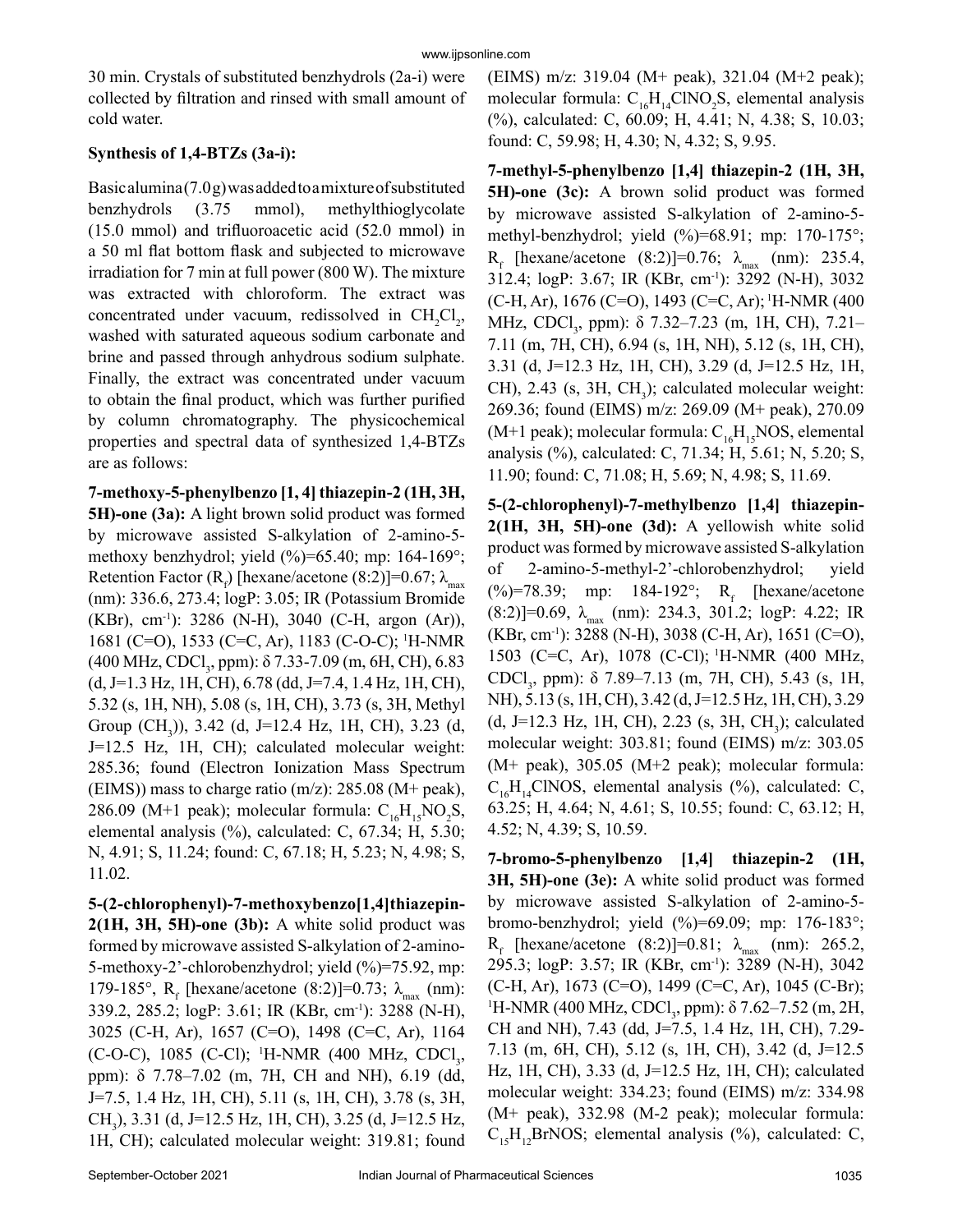30 min. Crystals of substituted benzhydrols (2a-i) were collected by filtration and rinsed with small amount of cold water.

# **Synthesis of 1,4-BTZs (3a-i):**

Basic alumina (7.0 g) was added to a mixture of substituted benzhydrols (3.75 mmol), methylthioglycolate (15.0 mmol) and trifluoroacetic acid (52.0 mmol) in a 50 ml flat bottom flask and subjected to microwave irradiation for 7 min at full power (800 W). The mixture was extracted with chloroform. The extract was concentrated under vacuum, redissolved in  $CH_2Cl_2$ , washed with saturated aqueous sodium carbonate and brine and passed through anhydrous sodium sulphate. Finally, the extract was concentrated under vacuum to obtain the final product, which was further purified by column chromatography. The physicochemical properties and spectral data of synthesized 1,4-BTZs are as follows:

**7-methoxy-5-phenylbenzo [1, 4] thiazepin-2 (1H, 3H, 5H)-one (3a):** A light brown solid product was formed by microwave assisted S-alkylation of 2-amino-5 methoxy benzhydrol; yield (%)=65.40; mp: 164-169°; Retention Factor ( $R_f$ ) [hexane/acetone (8:2)]=0.67;  $\lambda_{\text{max}}$ (nm): 336.6, 273.4; logP: 3.05; IR (Potassium Bromide  $(KBr)$ , cm<sup>-1</sup>): 3286 (N-H), 3040 (C-H, argon (Ar)), 1681 (C=O), 1533 (C=C, Ar), 1183 (C-O-C); 1 H-NMR (400 MHz, CDCl<sub>3</sub>, ppm): δ 7.33-7.09 (m, 6H, CH), 6.83  $(d, J=1.3 \text{ Hz}, 1H, CH)$ , 6.78  $(dd, J=7.4, 1.4 \text{ Hz}, 1H, CH)$ , 5.32 (s, 1H, NH), 5.08 (s, 1H, CH), 3.73 (s, 3H, Methyl Group (CH<sub>3</sub>)), 3.42 (d, J=12.4 Hz, 1H, CH), 3.23 (d, J=12.5 Hz, 1H, CH); calculated molecular weight: 285.36; found (Electron Ionization Mass Spectrum (EIMS)) mass to charge ratio  $(m/z)$ : 285.08 (M+ peak), 286.09 (M+1 peak); molecular formula:  $C_{16}H_{15}NO_2S$ , elemental analysis (%), calculated: C, 67.34; H, 5.30; N, 4.91; S, 11.24; found: C, 67.18; H, 5.23; N, 4.98; S, 11.02.

**5-(2-chlorophenyl)-7-methoxybenzo[1,4]thiazepin-2(1H, 3H, 5H)-one (3b):** A white solid product was formed by microwave assisted S-alkylation of 2-amino-5-methoxy-2'-chlorobenzhydrol; yield (%)=75.92, mp: 179-185°,  $R_f$  [hexane/acetone (8:2)]=0.73;  $\lambda_{max}$  (nm): 339.2, 285.2; logP: 3.61; IR (KBr, cm-1): 3288 (N-H), 3025 (C-H, Ar), 1657 (C=O), 1498 (C=C, Ar), 1164 (C-O-C), 1085 (C-Cl); <sup>1</sup>H-NMR (400 MHz, CDCl<sub>3</sub>, ppm): δ 7.78–7.02 (m, 7H, CH and NH), 6.19 (dd, J=7.5, 1.4 Hz, 1H, CH), 5.11 (s, 1H, CH), 3.78 (s, 3H, CH<sub>3</sub>), 3.31 (d, J=12.5 Hz, 1H, CH), 3.25 (d, J=12.5 Hz, 1H, CH); calculated molecular weight: 319.81; found

(EIMS) m/z: 319.04 (M+ peak), 321.04 (M+2 peak); molecular formula:  $C_{16}H_{14}CINO_2S$ , elemental analysis (%), calculated: C, 60.09; H, 4.41; N, 4.38; S, 10.03; found: C, 59.98; H, 4.30; N, 4.32; S, 9.95.

**7-methyl-5-phenylbenzo [1,4] thiazepin-2 (1H, 3H, 5H)-one (3c):** A brown solid product was formed by microwave assisted S-alkylation of 2-amino-5 methyl-benzhydrol; yield  $(\%)=68.91$ ; mp: 170-175°;  $R_f$  [hexane/acetone (8:2)]=0.76;  $\lambda_{max}$  (nm): 235.4, 312.4; logP: 3.67; IR (KBr, cm-1): 3292 (N-H), 3032 (C-H, Ar), 1676 (C=O), 1493 (C=C, Ar); 1H-NMR (400 MHz, CDCl<sub>3</sub>, ppm): δ 7.32–7.23 (m, 1H, CH), 7.21– 7.11 (m, 7H, CH), 6.94 (s, 1H, NH), 5.12 (s, 1H, CH), 3.31 (d, J=12.3 Hz, 1H, CH), 3.29 (d, J=12.5 Hz, 1H,  $CH$ ), 2.43 (s, 3H,  $CH<sub>3</sub>$ ); calculated molecular weight: 269.36; found (EIMS) m/z: 269.09 (M+ peak), 270.09 (M+1 peak); molecular formula:  $C_{16}H_{15}NOS$ , elemental analysis (%), calculated: C, 71.34; H, 5.61; N, 5.20; S, 11.90; found: C, 71.08; H, 5.69; N, 4.98; S, 11.69.

**5-(2-chlorophenyl)-7-methylbenzo [1,4] thiazepin-2(1H, 3H, 5H)-one (3d):** A yellowish white solid product was formed by microwave assisted S-alkylation of 2-amino-5-methyl-2'-chlorobenzhydrol; yield (%)=78.39; mp: 184-192°;  $R_f$  [hexane/acetone  $(8:2)$ ]=0.69,  $\lambda_{\text{max}}$  (nm): 234.3, 301.2; logP: 4.22; IR  $(KBr, cm^{-1})$ : 3288 (N-H), 3038 (C-H, Ar), 1651 (C=O), 1503 (C=C, Ar), 1078 (C-Cl); 1H-NMR (400 MHz, CDCl<sub>3</sub>, ppm): δ 7.89–7.13 (m, 7H, CH), 5.43 (s, 1H, NH), 5.13 (s, 1H, CH), 3.42 (d, J=12.5 Hz, 1H, CH), 3.29  $(d, J=12.3 \text{ Hz}, 1H, CH), 2.23 \text{ (s, 3H, CH<sub>3</sub>); calculated)}$ molecular weight: 303.81; found (EIMS) m/z: 303.05 (M+ peak), 305.05 (M+2 peak); molecular formula:  $C_{16}H_{14}CINOS$ , elemental analysis (%), calculated: C, 63.25; H, 4.64; N, 4.61; S, 10.55; found: C, 63.12; H, 4.52; N, 4.39; S, 10.59.

**7-bromo-5-phenylbenzo [1,4] thiazepin-2 (1H, 3H, 5H)-one (3e):** A white solid product was formed by microwave assisted S-alkylation of 2-amino-5 bromo-benzhydrol; yield (%)=69.09; mp: 176-183°;  $R_f$  [hexane/acetone (8:2)]=0.81;  $\lambda_{max}$  (nm): 265.2, 295.3; logP: 3.57; IR (KBr, cm-1): 3289 (N-H), 3042 (C-H, Ar), 1673 (C=O), 1499 (C=C, Ar), 1045 (C-Br); <sup>1</sup>H-NMR (400 MHz, CDCl<sub>3</sub>, ppm): δ 7.62–7.52 (m, 2H, CH and NH), 7.43 (dd, J=7.5, 1.4 Hz, 1H, CH), 7.29- 7.13 (m, 6H, CH), 5.12 (s, 1H, CH), 3.42 (d, J=12.5 Hz, 1H, CH), 3.33 (d, J=12.5 Hz, 1H, CH); calculated molecular weight: 334.23; found (EIMS) m/z: 334.98 (M+ peak), 332.98 (M-2 peak); molecular formula:  $C_{15}H_{12}BrNOS$ ; elemental analysis (%), calculated: C,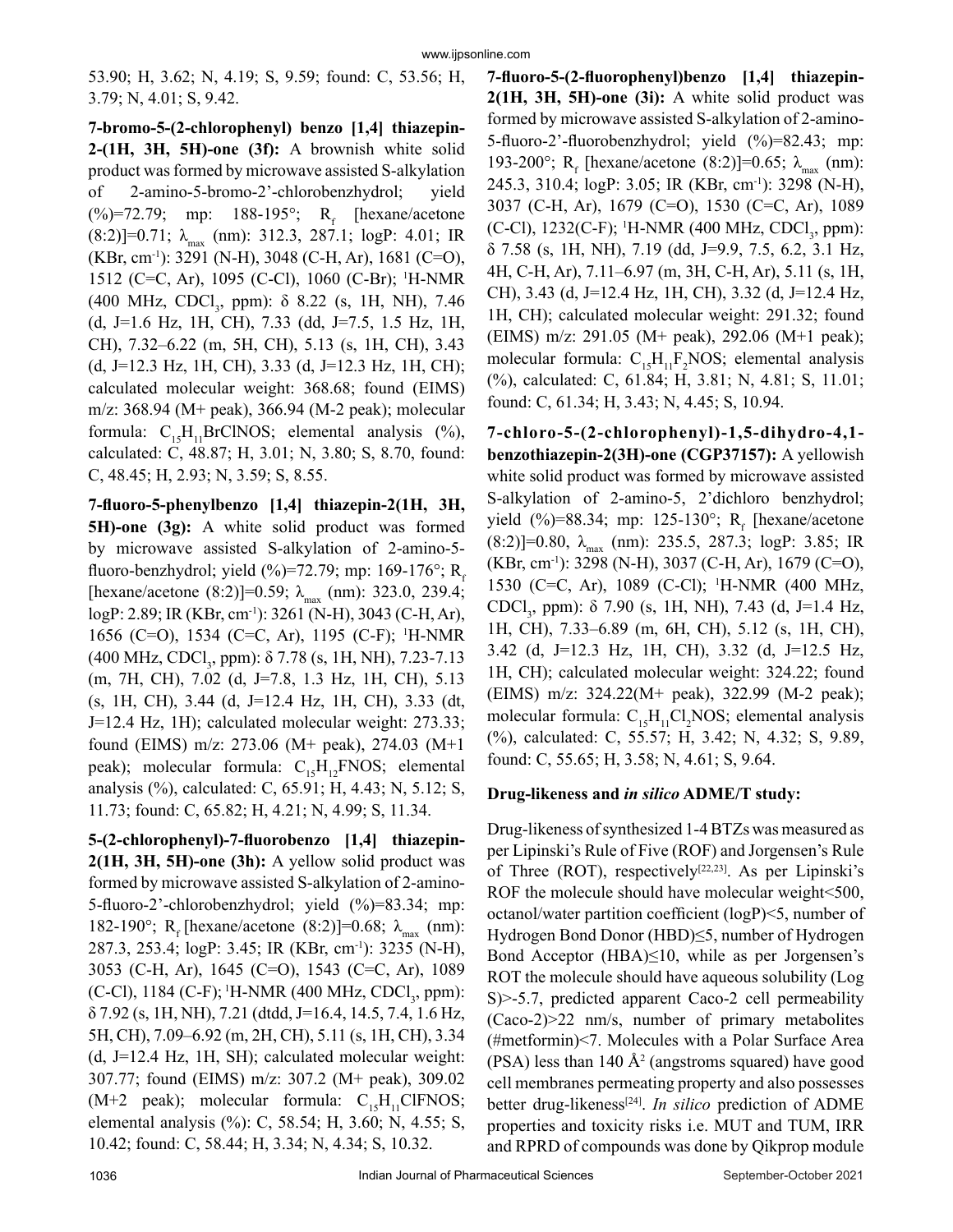53.90; H, 3.62; N, 4.19; S, 9.59; found: C, 53.56; H, 3.79; N, 4.01; S, 9.42.

**7-bromo-5-(2-chlorophenyl) benzo [1,4] thiazepin-2-(1H, 3H, 5H)-one (3f):** A brownish white solid product was formed by microwave assisted S-alkylation of 2-amino-5-bromo-2'-chlorobenzhydrol; yield  $(\%)=72.79$ ; mp: 188-195°; R<sub>f</sub> [hexane/acetone]  $(8:2)$ ]=0.71;  $\lambda_{\text{max}}$  (nm): 312.3, 287.1; logP: 4.01; IR  $(KBr, cm^{-1})$ : 3291 (N-H), 3048 (C-H, Ar), 1681 (C=O), 1512 (C=C, Ar), 1095 (C-Cl), 1060 (C-Br); 1 H-NMR  $(400 \text{ MHz}, \text{CDCl}_3, \text{ ppm})$ : δ 8.22 (s, 1H, NH), 7.46 (d, J=1.6 Hz, 1H, CH), 7.33 (dd, J=7.5, 1.5 Hz, 1H, CH), 7.32–6.22 (m, 5H, CH), 5.13 (s, 1H, CH), 3.43 (d, J=12.3 Hz, 1H, CH), 3.33 (d, J=12.3 Hz, 1H, CH); calculated molecular weight: 368.68; found (EIMS) m/z: 368.94 (M+ peak), 366.94 (M-2 peak); molecular formula:  $C_{15}H_{11}BrClNOS$ ; elemental analysis (%), calculated: C, 48.87; H, 3.01; N, 3.80; S, 8.70, found: C, 48.45; H, 2.93; N, 3.59; S, 8.55.

**7-fluoro-5-phenylbenzo [1,4] thiazepin-2(1H, 3H, 5H)-one (3g):** A white solid product was formed by microwave assisted S-alkylation of 2-amino-5 fluoro-benzhydrol; yield  $(\%)=72.79$ ; mp: 169-176°; R<sub>f</sub> [hexane/acetone (8:2)]=0.59;  $\lambda_{\text{max}}$  (nm): 323.0, 239.4; logP: 2.89; IR (KBr, cm<sup>-1</sup>): 3261 (N-H), 3043 (C-H, Ar), 1656 (C=O), 1534 (C=C, Ar), 1195 (C-F); 1 H-NMR (400 MHz, CDCl<sub>3</sub>, ppm): δ 7.78 (s, 1H, NH), 7.23-7.13 (m, 7H, CH), 7.02 (d, J=7.8, 1.3 Hz, 1H, CH), 5.13 (s, 1H, CH), 3.44 (d, J=12.4 Hz, 1H, CH), 3.33 (dt, J=12.4 Hz, 1H); calculated molecular weight: 273.33; found (EIMS) m/z: 273.06 (M+ peak), 274.03 (M+1 peak); molecular formula:  $C_{15}H_{12}FNOS$ ; elemental analysis (%), calculated: C, 65.91; H, 4.43; N, 5.12; S, 11.73; found: C, 65.82; H, 4.21; N, 4.99; S, 11.34.

**5-(2-chlorophenyl)-7-fluorobenzo [1,4] thiazepin-2(1H, 3H, 5H)-one (3h):** A yellow solid product was formed by microwave assisted S-alkylation of 2-amino-5-fluoro-2'-chlorobenzhydrol; yield (%)=83.34; mp: 182-190°; R<sub>f</sub> [hexane/acetone (8:2)]=0.68; λ<sub>max</sub> (nm): 287.3, 253.4; logP: 3.45; IR (KBr, cm-1): 3235 (N-H), 3053 (C-H, Ar), 1645 (C=O), 1543 (C=C, Ar), 1089 (C-Cl), 1184 (C-F); <sup>1</sup>H-NMR (400 MHz, CDCl<sub>3</sub>, ppm): δ 7.92 (s, 1H, NH), 7.21 (dtdd, J=16.4, 14.5, 7.4, 1.6 Hz, 5H, CH), 7.09–6.92 (m, 2H, CH), 5.11 (s, 1H, CH), 3.34 (d, J=12.4 Hz, 1H, SH); calculated molecular weight: 307.77; found (EIMS) m/z: 307.2 (M+ peak), 309.02  $(M+2$  peak); molecular formula:  $C_{15}H_{11}CIFNOS;$ elemental analysis (%): C, 58.54; H, 3.60; N, 4.55; S, 10.42; found: C, 58.44; H, 3.34; N, 4.34; S, 10.32.

**7-fluoro-5-(2-fluorophenyl)benzo [1,4] thiazepin-2(1H, 3H, 5H)-one (3i):** A white solid product was formed by microwave assisted S-alkylation of 2-amino-5-fluoro-2'-fluorobenzhydrol; yield (%)=82.43; mp: 193-200°;  $R_f$  [hexane/acetone (8:2)]=0.65;  $\lambda_{max}$  (nm): 245.3, 310.4; logP: 3.05; IR (KBr, cm-1): 3298 (N-H), 3037 (C-H, Ar), 1679 (C=O), 1530 (C=C, Ar), 1089 (C-Cl), 1232(C-F); <sup>1</sup>H-NMR (400 MHz, CDCl<sub>3</sub>, ppm): δ 7.58 (s, 1H, NH), 7.19 (dd, J=9.9, 7.5, 6.2, 3.1 Hz, 4H, C-H, Ar), 7.11–6.97 (m, 3H, C-H, Ar), 5.11 (s, 1H, CH), 3.43 (d, J=12.4 Hz, 1H, CH), 3.32 (d, J=12.4 Hz, 1H, CH); calculated molecular weight: 291.32; found (EIMS) m/z: 291.05 (M+ peak), 292.06 (M+1 peak); molecular formula:  $C_{15}H_{11}F_2NOS$ ; elemental analysis (%), calculated: C, 61.84; H, 3.81; N, 4.81; S, 11.01; found: C, 61.34; H, 3.43; N, 4.45; S, 10.94.

**7-chloro-5-(2-chlorophenyl)-1,5-dihydro-4,1 benzothiazepin-2(3H)-one (CGP37157):** A yellowish white solid product was formed by microwave assisted S-alkylation of 2-amino-5, 2'dichloro benzhydrol; yield  $(\frac{9}{6})=88.34$ ; mp: 125-130°; R<sub>f</sub> [hexane/acetone  $(8:2)$ ]=0.80,  $\lambda_{\text{max}}$  (nm): 235.5, 287.3; logP: 3.85; IR (KBr, cm-1): 3298 (N-H), 3037 (C-H, Ar), 1679 (C=O), 1530 (C=C, Ar), 1089 (C-Cl); 1 H-NMR (400 MHz, CDCl<sub>3</sub>, ppm):  $\delta$  7.90 (s, 1H, NH), 7.43 (d, J=1.4 Hz, 1H, CH), 7.33–6.89 (m, 6H, CH), 5.12 (s, 1H, CH), 3.42 (d, J=12.3 Hz, 1H, CH), 3.32 (d, J=12.5 Hz, 1H, CH); calculated molecular weight: 324.22; found (EIMS) m/z: 324.22(M+ peak), 322.99 (M-2 peak); molecular formula:  $C_{15}H_{11}Cl_2NOS$ ; elemental analysis (%), calculated: C, 55.57; H, 3.42; N, 4.32; S, 9.89, found: C, 55.65; H, 3.58; N, 4.61; S, 9.64.

# **Drug-likeness and** *in silico* **ADME/T study:**

Drug-likeness of synthesized 1-4 BTZs was measured as per Lipinski's Rule of Five (ROF) and Jorgensen's Rule of Three (ROT), respectively<sup>[22,23]</sup>. As per Lipinski's ROF the molecule should have molecular weight <500, octanol/water partition coefficient (logP)<5, number of Hydrogen Bond Donor (HBD)≤5, number of Hydrogen Bond Acceptor (HBA)≤10, while as per Jorgensen's ROT the molecule should have aqueous solubility (Log S)>-5.7, predicted apparent Caco-2 cell permeability (Caco-2)>22 nm/s, number of primary metabolites (#metformin)<7. Molecules with a Polar Surface Area  $(PSA)$  less than 140  $A<sup>2</sup>$  (angstroms squared) have good cell membranes permeating property and also possesses better drug-likeness[24]. *In silico* prediction of ADME properties and toxicity risks i.e. MUT and TUM, IRR and RPRD of compounds was done by Qikprop module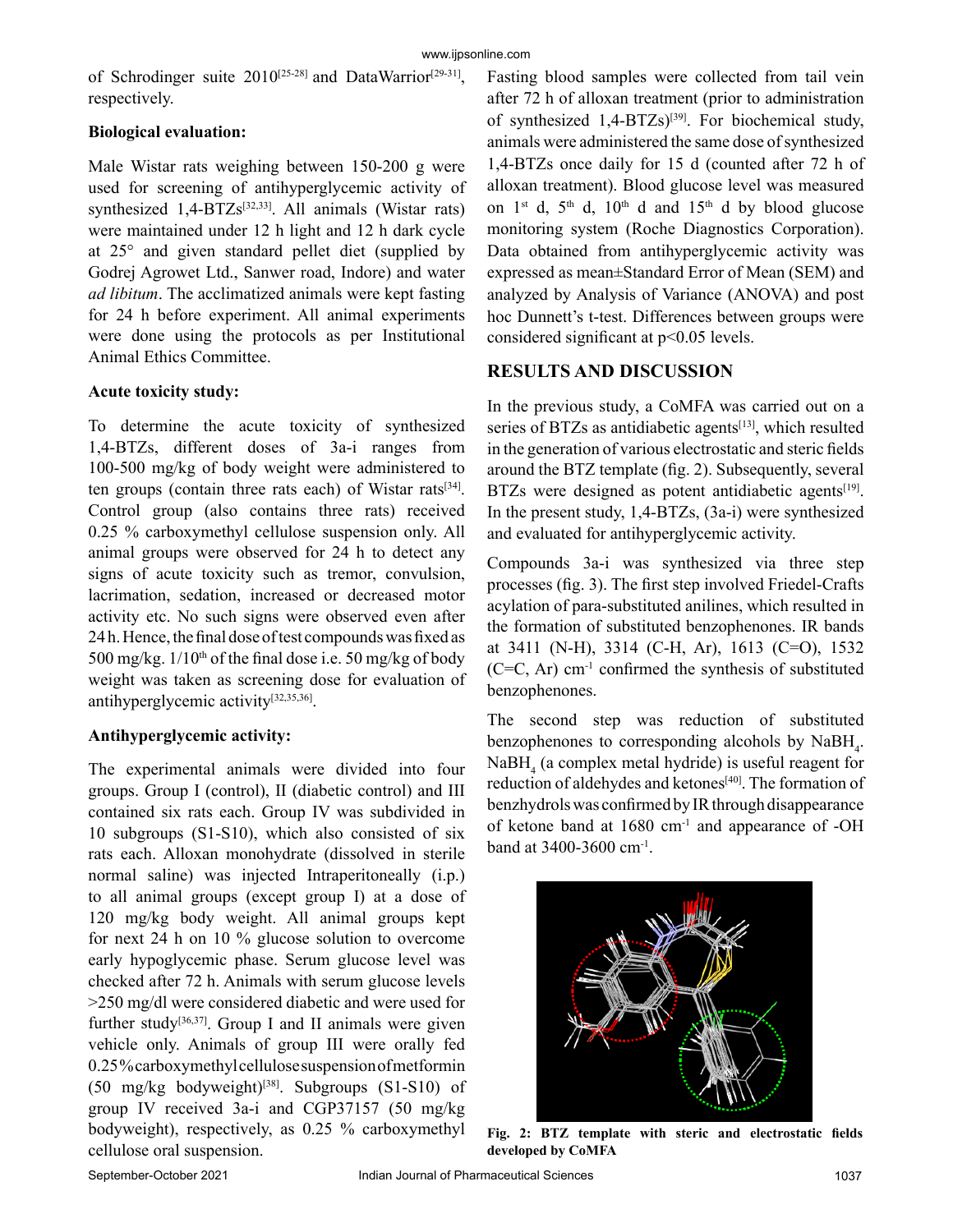of Schrodinger suite 2010<sup>[25-28]</sup> and DataWarrior<sup>[29-31]</sup>, respectively.

# **Biological evaluation:**

Male Wistar rats weighing between 150-200 g were used for screening of antihyperglycemic activity of synthesized  $1,4-BTZs^{[32,33]}$ . All animals (Wistar rats) were maintained under 12 h light and 12 h dark cycle at 25° and given standard pellet diet (supplied by Godrej Agrowet Ltd., Sanwer road, Indore) and water *ad libitum*. The acclimatized animals were kept fasting for 24 h before experiment. All animal experiments were done using the protocols as per Institutional Animal Ethics Committee.

# **Acute toxicity study:**

To determine the acute toxicity of synthesized 1,4-BTZs, different doses of 3a-i ranges from 100-500 mg/kg of body weight were administered to ten groups (contain three rats each) of Wistar rats[34]. Control group (also contains three rats) received 0.25 % carboxymethyl cellulose suspension only. All animal groups were observed for 24 h to detect any signs of acute toxicity such as tremor, convulsion, lacrimation, sedation, increased or decreased motor activity etc. No such signs were observed even after 24 h. Hence, the final dose of test compounds was fixed as 500 mg/kg.  $1/10^{th}$  of the final dose i.e. 50 mg/kg of body weight was taken as screening dose for evaluation of antihyperglycemic activity[32,35,36].

# **Antihyperglycemic activity:**

The experimental animals were divided into four groups. Group I (control), II (diabetic control) and III contained six rats each. Group IV was subdivided in 10 subgroups (S1-S10), which also consisted of six rats each. Alloxan monohydrate (dissolved in sterile normal saline) was injected Intraperitoneally (i.p.) to all animal groups (except group I) at a dose of 120 mg/kg body weight. All animal groups kept for next 24 h on 10 % glucose solution to overcome early hypoglycemic phase. Serum glucose level was checked after 72 h. Animals with serum glucose levels >250 mg/dl were considered diabetic and were used for further study<sup>[36,37]</sup>. Group I and II animals were given vehicle only. Animals of group III were orally fed 0.25 % carboxymethyl cellulose suspension of metformin  $(50 \text{ mg/kg}$  bodyweight)<sup>[38]</sup>. Subgroups  $(S1-S10)$  of group IV received 3a-i and CGP37157 (50 mg/kg bodyweight), respectively, as 0.25 % carboxymethyl cellulose oral suspension.

Fasting blood samples were collected from tail vein after 72 h of alloxan treatment (prior to administration of synthesized  $1,4-BTZs$ <sup>[39]</sup>. For biochemical study, animals were administered the same dose of synthesized 1,4-BTZs once daily for 15 d (counted after 72 h of alloxan treatment). Blood glucose level was measured on  $1^{st}$  d,  $5^{th}$  d,  $10^{th}$  d and  $15^{th}$  d by blood glucose monitoring system (Roche Diagnostics Corporation). Data obtained from antihyperglycemic activity was expressed as mean±Standard Error of Mean (SEM) and analyzed by Analysis of Variance (ANOVA) and post hoc Dunnett's t-test. Differences between groups were considered significant at p<0.05 levels.

# **RESULTS AND DISCUSSION**

In the previous study, a CoMFA was carried out on a series of BTZs as antidiabetic agents<sup>[13]</sup>, which resulted in the generation of various electrostatic and steric fields around the BTZ template (fig. 2). Subsequently, several BTZs were designed as potent antidiabetic agents<sup>[19]</sup>. In the present study, 1,4-BTZs, (3a-i) were synthesized and evaluated for antihyperglycemic activity.

Compounds 3a-i was synthesized via three step processes (fig. 3). The first step involved Friedel-Crafts acylation of para-substituted anilines, which resulted in the formation of substituted benzophenones. IR bands at 3411 (N-H), 3314 (C-H, Ar), 1613 (C=O), 1532  $(C=C, Ar)$  cm<sup>-1</sup> confirmed the synthesis of substituted benzophenones.

The second step was reduction of substituted benzophenones to corresponding alcohols by  $NabH_4$ .  $N$ a $BH$ <sub>4</sub> (a complex metal hydride) is useful reagent for reduction of aldehydes and ketones<sup>[40]</sup>. The formation of benzhydrols was confirmed by IR through disappearance of ketone band at 1680 cm-1 and appearance of -OH band at 3400-3600 cm-1.



**Fig. 2: BTZ template with steric and electrostatic fields developed by CoMFA**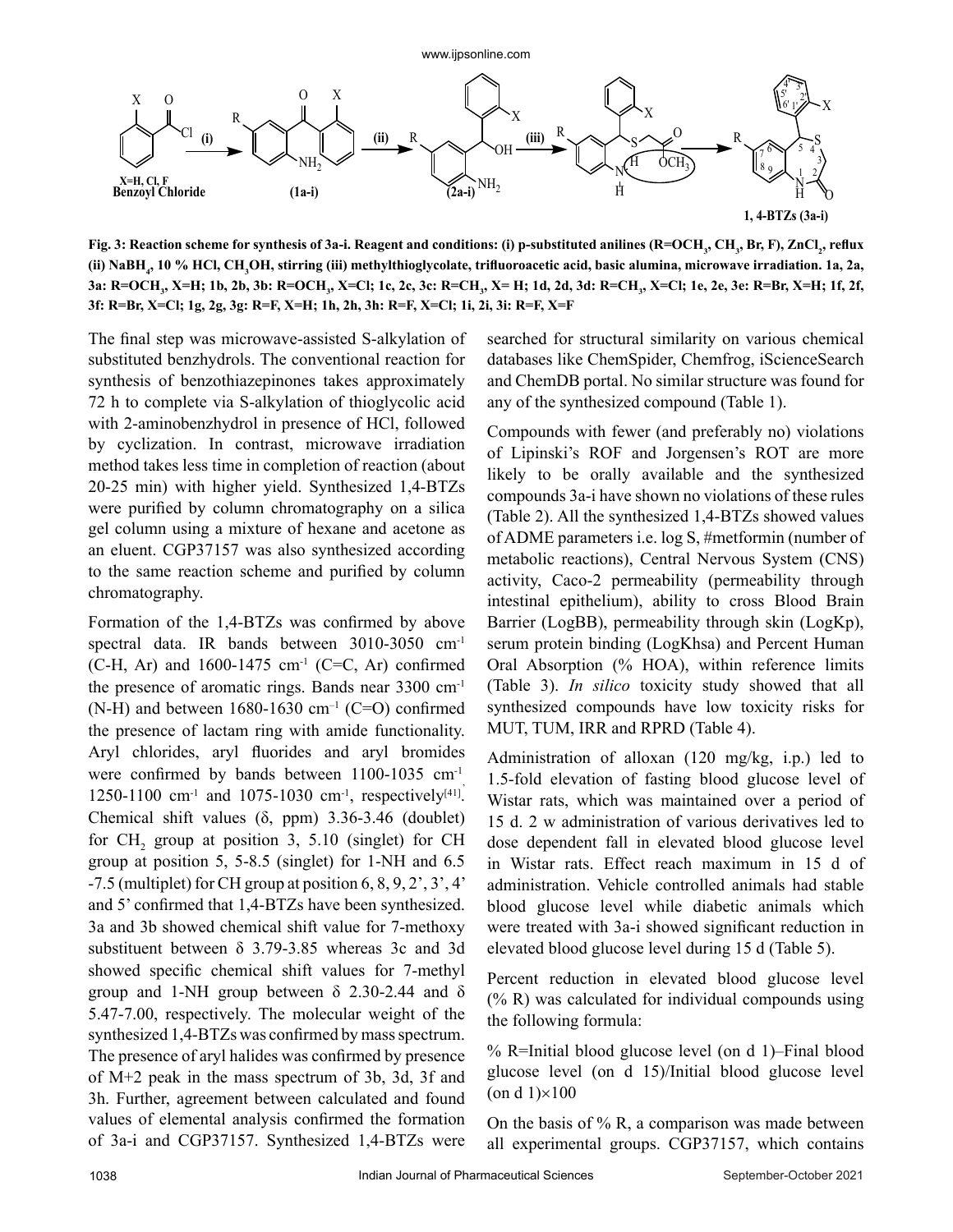

Fig. 3: Reaction scheme for synthesis of 3a-i. Reagent and conditions: (i) p-substituted anilines (R=OCH<sub>3</sub>, CH<sub>3</sub>, Br, F), ZnCl<sub>2</sub>, reflux (ii) NaBH<sub>4</sub>, 10 % HCl, CH<sub>3</sub>OH, stirring (iii) methylthioglycolate, trifluoroacetic acid, basic alumina, microwave irradiation. 1a, 2a, **3a: R=OCH3 , X=H; 1b, 2b, 3b: R=OCH3 , X=Cl; 1c, 2c, 3c: R=CH3 , X= H; 1d, 2d, 3d: R=CH3 , X=Cl; 1e, 2e, 3e: R=Br, X=H; 1f, 2f, 3f: R=Br, X=Cl; 1g, 2g, 3g: R=F, X=H; 1h, 2h, 3h: R=F, X=Cl; 1i, 2i, 3i: R=F, X=F**

The final step was microwave-assisted S-alkylation of substituted benzhydrols. The conventional reaction for synthesis of benzothiazepinones takes approximately 72 h to complete via S-alkylation of thioglycolic acid with 2-aminobenzhydrol in presence of HCl, followed by cyclization. In contrast, microwave irradiation method takes less time in completion of reaction (about 20-25 min) with higher yield. Synthesized 1,4-BTZs were purified by column chromatography on a silica gel column using a mixture of hexane and acetone as an eluent. CGP37157 was also synthesized according to the same reaction scheme and purified by column chromatography.

Formation of the 1,4-BTZs was confirmed by above spectral data. IR bands between 3010-3050 cm-1  $(C-H, Ar)$  and 1600-1475 cm<sup>-1</sup> (C=C, Ar) confirmed the presence of aromatic rings. Bands near 3300 cm-1 (N-H) and between  $1680-1630$  cm<sup>-1</sup> (C=O) confirmed the presence of lactam ring with amide functionality. Aryl chlorides, aryl fluorides and aryl bromides were confirmed by bands between  $1100-1035$  cm<sup>-1</sup> 1250-1100 cm<sup>-1</sup> and 1075-1030 cm<sup>-1</sup>, respectively<sup>[41]</sup>. Chemical shift values (δ, ppm) 3.36-3.46 (doublet) for  $CH_2$  group at position 3, 5.10 (singlet) for CH group at position 5, 5-8.5 (singlet) for 1-NH and 6.5 -7.5 (multiplet) for CH group at position 6, 8, 9, 2', 3', 4' and 5' confirmed that 1,4-BTZs have been synthesized. 3a and 3b showed chemical shift value for 7-methoxy substituent between δ 3.79-3.85 whereas 3c and 3d showed specific chemical shift values for 7-methyl group and 1-NH group between  $\delta$  2.30-2.44 and  $\delta$ 5.47-7.00, respectively. The molecular weight of the synthesized 1,4-BTZs was confirmed by mass spectrum. The presence of aryl halides was confirmed by presence of M+2 peak in the mass spectrum of 3b, 3d, 3f and 3h. Further, agreement between calculated and found values of elemental analysis confirmed the formation of 3a-i and CGP37157. Synthesized 1,4-BTZs were

searched for structural similarity on various chemical databases like ChemSpider, Chemfrog, iScienceSearch and ChemDB portal. No similar structure was found for any of the synthesized compound (Table 1).

Compounds with fewer (and preferably no) violations of Lipinski's ROF and Jorgensen's ROT are more likely to be orally available and the synthesized compounds 3a-i have shown no violations of these rules (Table 2). All the synthesized 1,4-BTZs showed values of ADME parameters i.e. log S, #metformin (number of metabolic reactions), Central Nervous System (CNS) activity, Caco-2 permeability (permeability through intestinal epithelium), ability to cross Blood Brain Barrier (LogBB), permeability through skin (LogKp), serum protein binding (LogKhsa) and Percent Human Oral Absorption (% HOA), within reference limits (Table 3). *In silico* toxicity study showed that all synthesized compounds have low toxicity risks for MUT, TUM, IRR and RPRD (Table 4).

Administration of alloxan (120 mg/kg, i.p.) led to 1.5-fold elevation of fasting blood glucose level of Wistar rats, which was maintained over a period of 15 d. 2 w administration of various derivatives led to dose dependent fall in elevated blood glucose level in Wistar rats. Effect reach maximum in 15 d of administration. Vehicle controlled animals had stable blood glucose level while diabetic animals which were treated with 3a-i showed significant reduction in elevated blood glucose level during 15 d (Table 5).

Percent reduction in elevated blood glucose level (% R) was calculated for individual compounds using the following formula:

% R=Initial blood glucose level (on d 1)–Final blood glucose level (on d 15)/Initial blood glucose level  $($ on d 1 $)\times$ 100

On the basis of  $\%$  R, a comparison was made between all experimental groups. CGP37157, which contains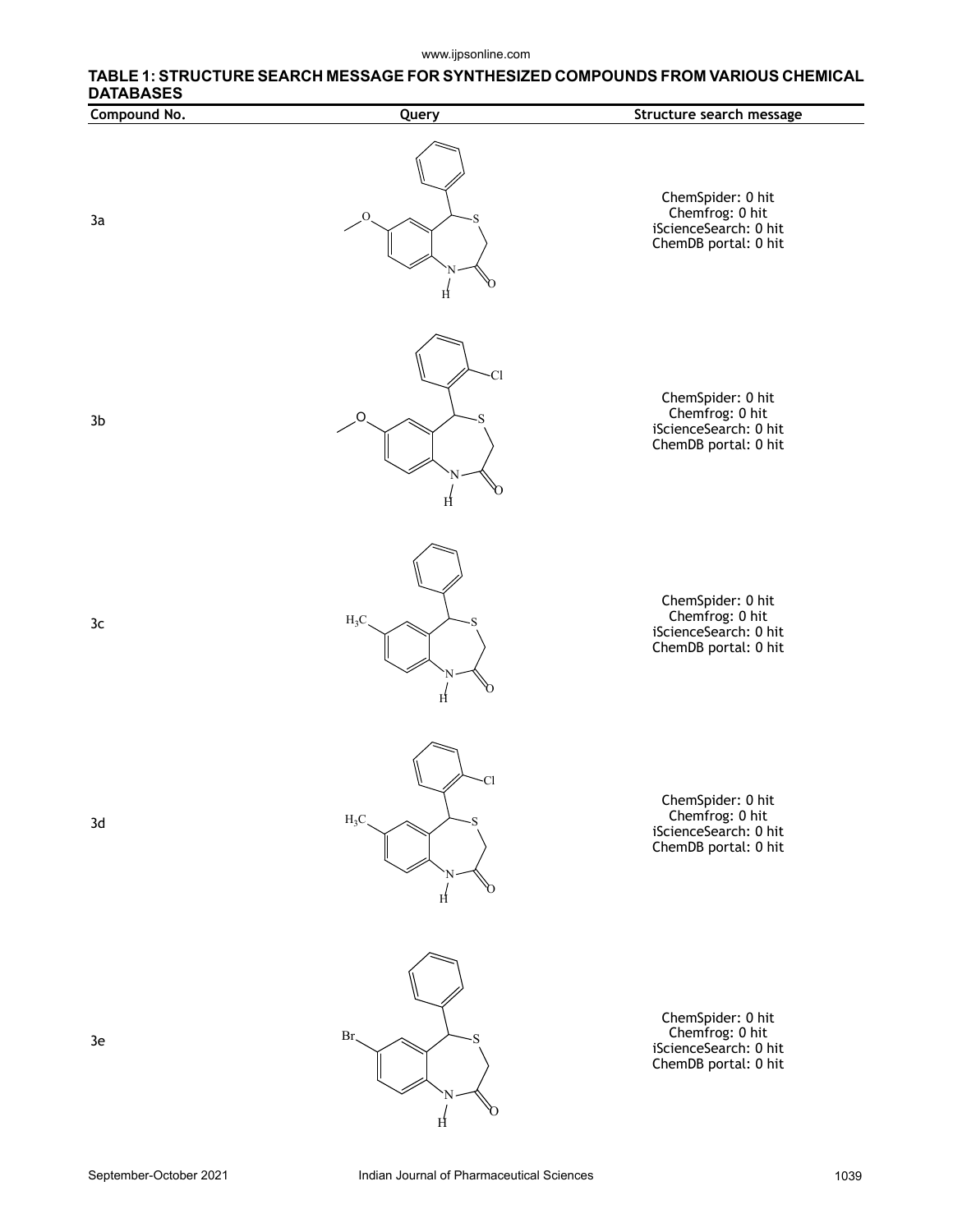#### www.ijpsonline.com

# **TABLE 1: STRUCTURE SEARCH MESSAGE FOR SYNTHESIZED COMPOUNDS FROM VARIOUS CHEMICAL DATABASES**

| Compound No.   | Query                    | Structure search message                                                              |
|----------------|--------------------------|---------------------------------------------------------------------------------------|
| 3a             | $\overline{O}$<br>S<br>H | ChemSpider: 0 hit<br>Chemfrog: 0 hit<br>iScienceSearch: 0 hit<br>ChemDB portal: 0 hit |
| 3 <sub>b</sub> | -Cl<br>O<br>H            | ChemSpider: 0 hit<br>Chemfrog: 0 hit<br>iScienceSearch: 0 hit<br>ChemDB portal: 0 hit |
| 3c             | $H_3C$<br>H              | ChemSpider: 0 hit<br>Chemfrog: 0 hit<br>iScienceSearch: 0 hit<br>ChemDB portal: 0 hit |
| 3d             | ·Cl<br>$H_3C$<br>0<br>H  | ChemSpider: 0 hit<br>Chemfrog: 0 hit<br>iScienceSearch: 0 hit<br>ChemDB portal: 0 hit |
| 3e             | Br,<br>0<br>H            | ChemSpider: 0 hit<br>Chemfrog: 0 hit<br>iScienceSearch: 0 hit<br>ChemDB portal: 0 hit |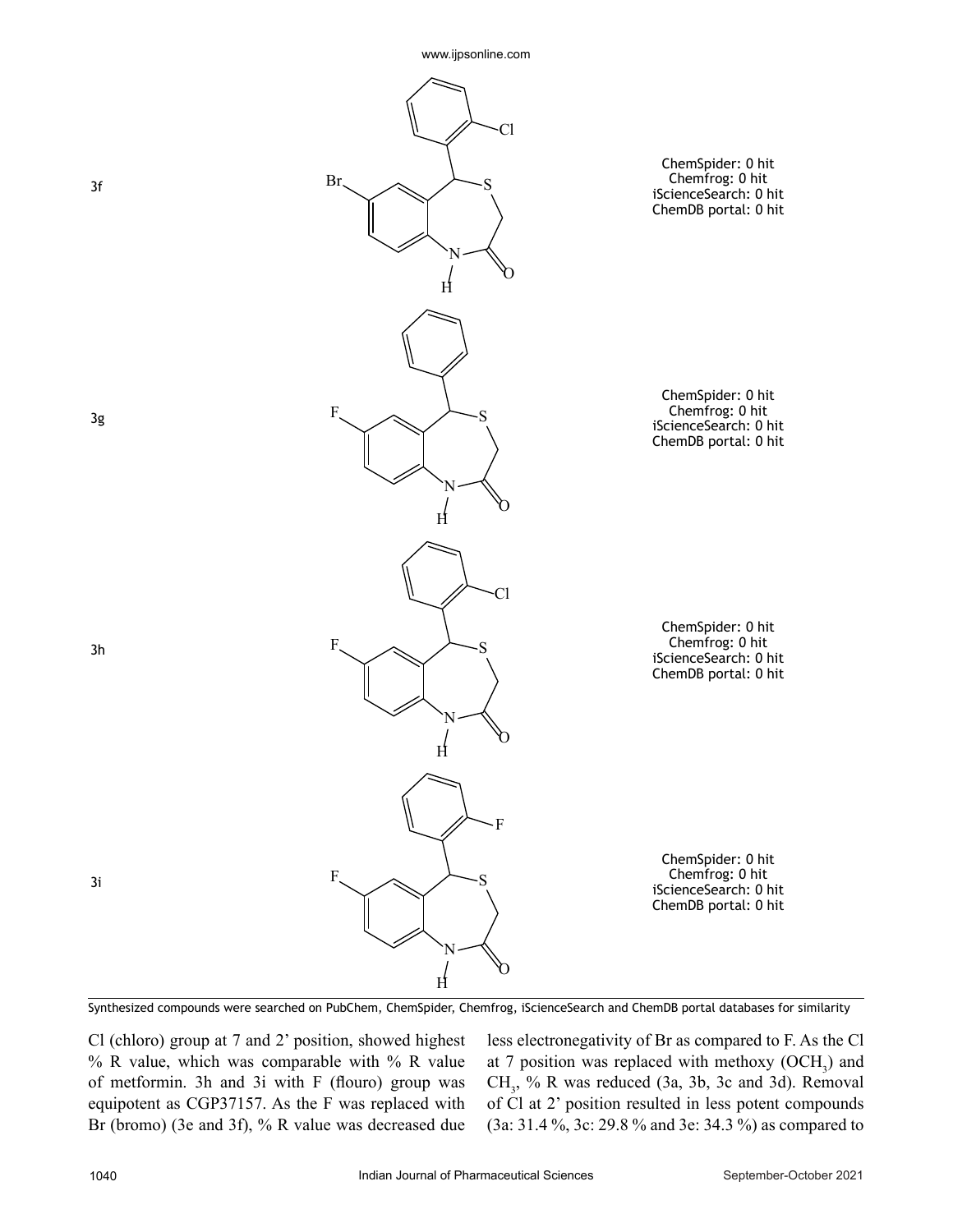

Synthesized compounds were searched on PubChem, ChemSpider, Chemfrog, iScienceSearch and ChemDB portal databases for similarity

Cl (chloro) group at 7 and 2' position, showed highest % R value, which was comparable with % R value of metformin. 3h and 3i with F (flouro) group was equipotent as CGP37157. As the F was replaced with Br (bromo) (3e and 3f), % R value was decreased due less electronegativity of Br as compared to F. As the Cl at 7 position was replaced with methoxy  $(OCH<sub>3</sub>)$  and  $CH<sub>3</sub>$ , % R was reduced (3a, 3b, 3c and 3d). Removal of Cl at 2' position resulted in less potent compounds (3a: 31.4 %, 3c: 29.8 % and 3e: 34.3 %) as compared to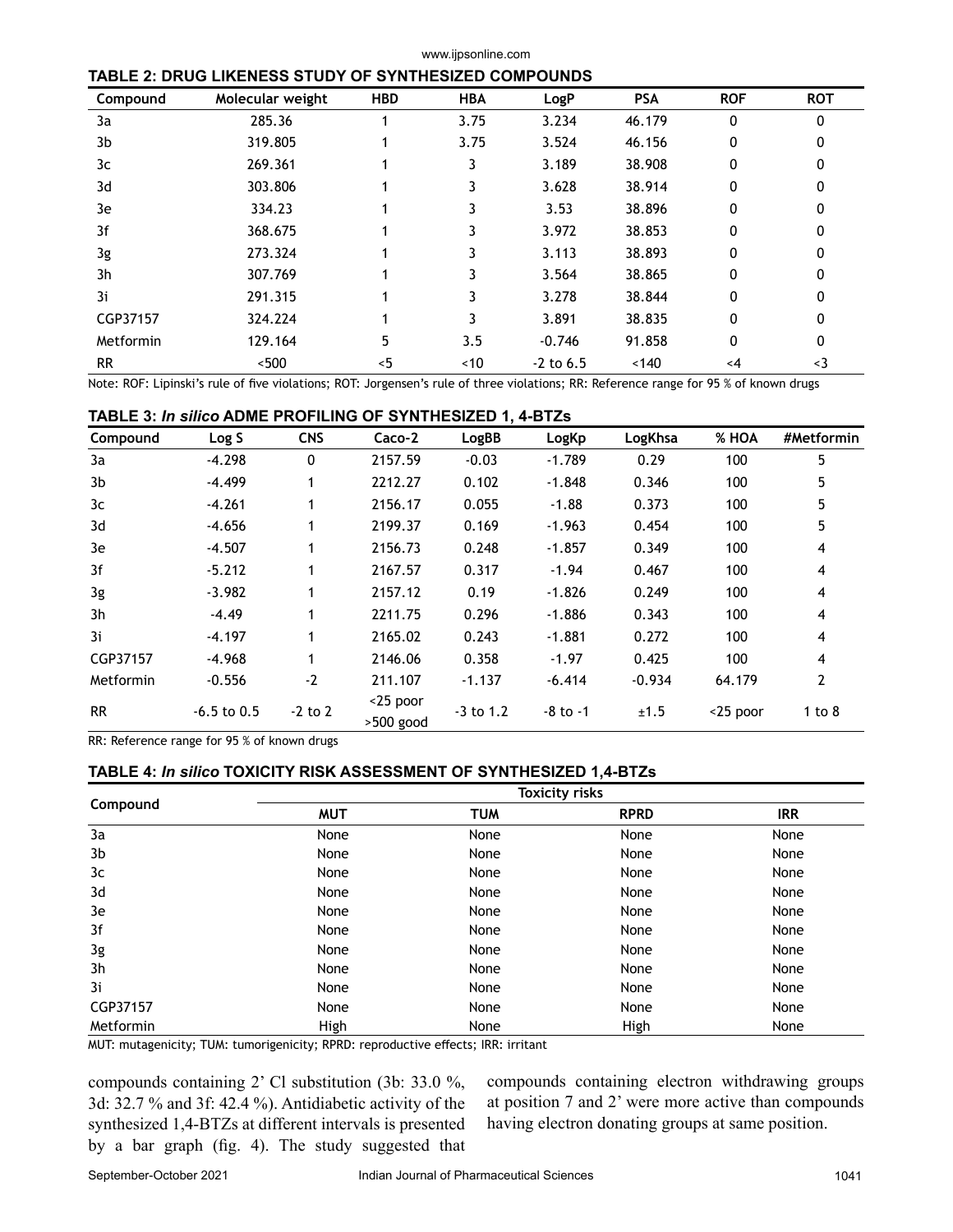## **TABLE 2: DRUG LIKENESS STUDY OF SYNTHESIZED COMPOUNDS**

| Compound  | Molecular weight | <b>HBD</b> | <b>HBA</b> | LogP        | <b>PSA</b> | <b>ROF</b> | <b>ROT</b> |  |
|-----------|------------------|------------|------------|-------------|------------|------------|------------|--|
| 3a        | 285.36           |            | 3.75       | 3.234       | 46.179     | 0          | $\Omega$   |  |
| 3b        | 319.805          |            | 3.75       | 3.524       | 46.156     | 0          | 0          |  |
| 3c        | 269.361          |            | 3          | 3.189       | 38.908     | 0          | 0          |  |
| 3d        | 303.806          |            | 3          | 3.628       | 38.914     | 0          | 0          |  |
| 3e        | 334.23           |            | 3          | 3.53        | 38.896     | 0          | 0          |  |
| 3f        | 368.675          |            | 3          | 3.972       | 38.853     | 0          | 0          |  |
| 3g        | 273.324          |            | 3          | 3.113       | 38.893     | 0          | 0          |  |
| 3h        | 307.769          |            | 3          | 3.564       | 38.865     | 0          | 0          |  |
| 3i        | 291.315          |            | 3          | 3.278       | 38.844     | 0          | 0          |  |
| CGP37157  | 324.224          |            | 3          | 3.891       | 38.835     | 0          | 0          |  |
| Metformin | 129.164          | 5          | 3.5        | $-0.746$    | 91.858     | 0          | 0          |  |
| <b>RR</b> | ~500             | $<$ 5      | ~10        | $-2$ to 6.5 | ~140       | <4         | $3$        |  |

www.ijpsonline.com

Note: ROF: Lipinski's rule of five violations; ROT: Jorgensen's rule of three violations; RR: Reference range for 95 % of known drugs

## **TABLE 3:** *In silico* **ADME PROFILING OF SYNTHESIZED 1, 4-BTZs**

| Compound  | Log S         | <b>CNS</b> | Caco-2                | LogBB       | LogKp        | LogKhsa  | % HOA       | #Metformin |
|-----------|---------------|------------|-----------------------|-------------|--------------|----------|-------------|------------|
| 3a        | $-4.298$      | 0          | 2157.59               | $-0.03$     | $-1.789$     | 0.29     | 100         | 5          |
| 3b        | $-4.499$      | 1          | 2212.27               | 0.102       | $-1.848$     | 0.346    | 100         | 5          |
| 3c        | $-4.261$      | 1          | 2156.17               | 0.055       | $-1.88$      | 0.373    | 100         | 5          |
| 3d        | $-4.656$      | 1          | 2199.37               | 0.169       | $-1.963$     | 0.454    | 100         | 5          |
| 3e        | $-4.507$      | 1          | 2156.73               | 0.248       | $-1.857$     | 0.349    | 100         | 4          |
| 3f        | $-5.212$      | 1          | 2167.57               | 0.317       | $-1.94$      | 0.467    | 100         | 4          |
| 3g        | $-3.982$      | 1          | 2157.12               | 0.19        | $-1.826$     | 0.249    | 100         | 4          |
| 3h        | $-4.49$       | 1          | 2211.75               | 0.296       | $-1.886$     | 0.343    | 100         | 4          |
| 3i        | $-4.197$      | 1          | 2165.02               | 0.243       | $-1.881$     | 0.272    | 100         | 4          |
| CGP37157  | $-4.968$      | 1          | 2146.06               | 0.358       | $-1.97$      | 0.425    | 100         | 4          |
| Metformin | $-0.556$      | $-2$       | 211.107               | $-1.137$    | $-6.414$     | $-0.934$ | 64.179      | 2          |
| <b>RR</b> | $-6.5$ to 0.5 | $-2$ to 2  | <25 poor<br>>500 good | $-3$ to 1.2 | $-8$ to $-1$ | ±1.5     | $<$ 25 poor | 1 to $8$   |

RR: Reference range for 95 % of known drugs

## **TABLE 4:** *In silico* **TOXICITY RISK ASSESSMENT OF SYNTHESIZED 1,4-BTZs**

|           | <b>Toxicity risks</b> |            |             |            |  |  |
|-----------|-----------------------|------------|-------------|------------|--|--|
| Compound  | <b>MUT</b>            | <b>TUM</b> | <b>RPRD</b> | <b>IRR</b> |  |  |
| 3a        | None                  | None       | None        | None       |  |  |
| 3b        | None                  | None       | None        | None       |  |  |
| 3c        | None                  | None       | None        | None       |  |  |
| 3d        | None                  | None       | None        | None       |  |  |
| 3e        | None                  | None       | None        | None       |  |  |
| 3f        | None                  | None       | None        | None       |  |  |
| 3g        | None                  | None       | None        | None       |  |  |
| 3h        | None                  | None       | None        | None       |  |  |
| 3i        | None                  | None       | None        | None       |  |  |
| CGP37157  | None                  | None       | None        | None       |  |  |
| Metformin | High                  | None       | High        | None       |  |  |

MUT: mutagenicity; TUM: tumorigenicity; RPRD: reproductive effects; IRR: irritant

compounds containing 2' Cl substitution (3b: 33.0 %, 3d: 32.7 % and 3f: 42.4 %). Antidiabetic activity of the synthesized 1,4-BTZs at different intervals is presented by a bar graph (fig. 4). The study suggested that compounds containing electron withdrawing groups at position 7 and 2' were more active than compounds having electron donating groups at same position.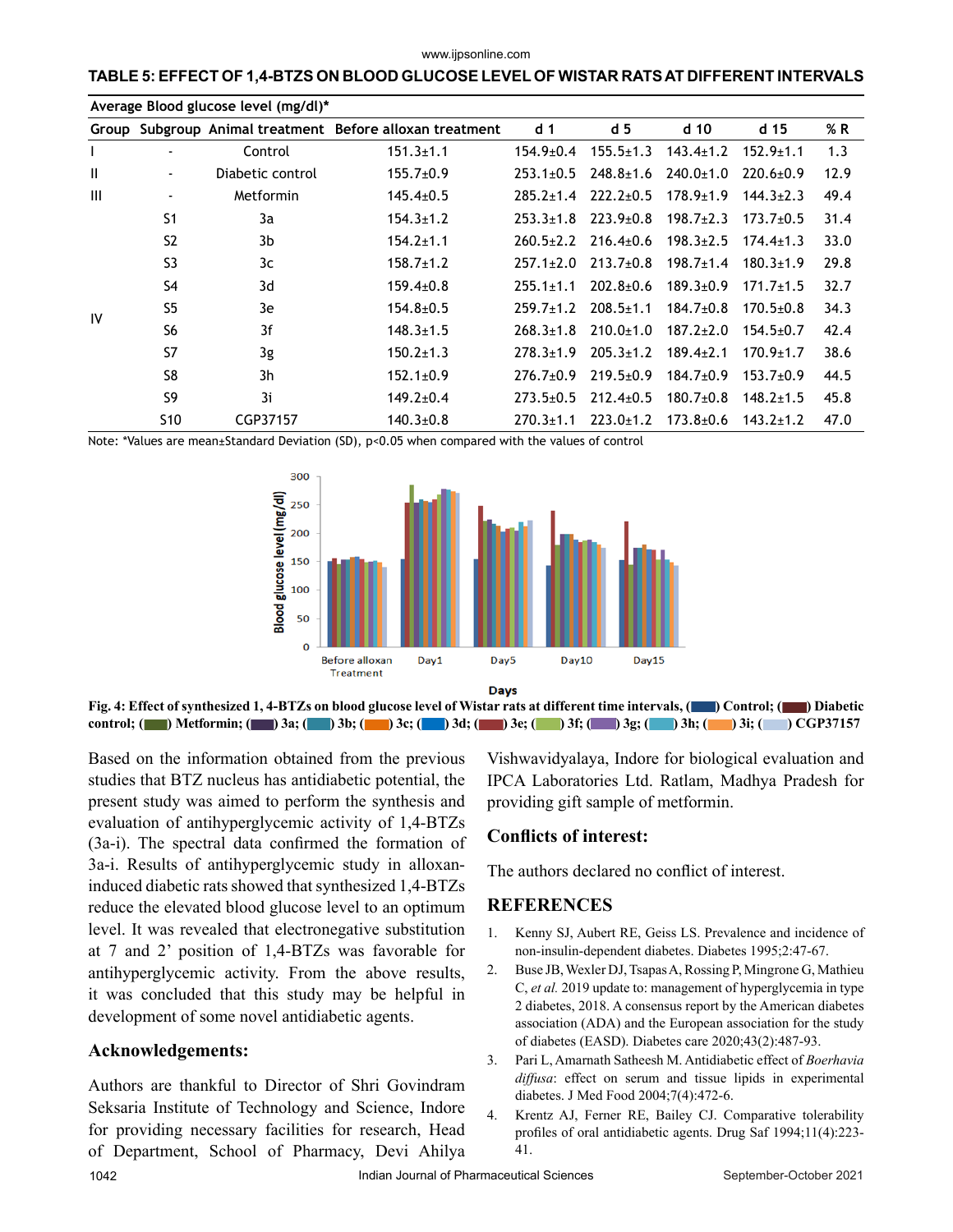#### www.ijpsonline.com

## **TABLE 5: EFFECT OF 1,4-BTZS ON BLOOD GLUCOSE LEVEL OF WISTAR RATS AT DIFFERENT INTERVALS**

| Average Blood glucose level (mg/dl)* |                          |                  |                                                          |                 |                 |                 |                 |      |  |
|--------------------------------------|--------------------------|------------------|----------------------------------------------------------|-----------------|-----------------|-----------------|-----------------|------|--|
|                                      |                          |                  | Group Subgroup Animal treatment Before alloxan treatment | d <sub>1</sub>  | d <sub>5</sub>  | d <sub>10</sub> | d 15            | % R  |  |
| $\mathbf{I}$                         |                          | Control          | $151.3 \pm 1.1$                                          | 154.9±0.4       | $155.5 \pm 1.3$ | $143.4 \pm 1.2$ | $152.9 \pm 1.1$ | 1.3  |  |
| $\mathbf{H}$                         | $\overline{\phantom{a}}$ | Diabetic control | $155.7 \pm 0.9$                                          | $253.1 \pm 0.5$ | $248.8 \pm 1.6$ | $240.0 \pm 1.0$ | $220.6 \pm 0.9$ | 12.9 |  |
| $\mathbf{III}$                       | $\blacksquare$           | Metformin        | $145.4 \pm 0.5$                                          | $285.2 + 1.4$   | $222.2+0.5$     | $178.9 \pm 1.9$ | $144.3 \pm 2.3$ | 49.4 |  |
|                                      | S1                       | 3a               | $154.3 \pm 1.2$                                          | $253.3 \pm 1.8$ | $223.9 \pm 0.8$ | $198.7 \pm 2.3$ | $173.7 \pm 0.5$ | 31.4 |  |
|                                      | S <sub>2</sub>           | 3b               | $154.2 \pm 1.1$                                          | $260.5 \pm 2.2$ | $216.4 \pm 0.6$ | $198.3 \pm 2.5$ | $174.4 \pm 1.3$ | 33.0 |  |
|                                      | S <sub>3</sub>           | 3c               | $158.7 \pm 1.2$                                          | $257.1 \pm 2.0$ | $213.7 \pm 0.8$ | $198.7 \pm 1.4$ | $180.3 \pm 1.9$ | 29.8 |  |
|                                      | S4                       | 3d               | $159.4 \pm 0.8$                                          | $255.1 \pm 1.1$ | $202.8 + 0.6$   | $189.3 \pm 0.9$ | $171.7 \pm 1.5$ | 32.7 |  |
| IV                                   | S <sub>5</sub>           | 3e               | $154.8 \pm 0.5$                                          | $259.7 \pm 1.2$ | $208.5 \pm 1.1$ | $184.7 \pm 0.8$ | $170.5 \pm 0.8$ | 34.3 |  |
|                                      | S <sub>6</sub>           | 3f               | $148.3 \pm 1.5$                                          | $268.3 \pm 1.8$ | $210.0+1.0$     | $187.2 \pm 2.0$ | $154.5 \pm 0.7$ | 42.4 |  |
|                                      | S7                       | 3g               | $150.2 \pm 1.3$                                          | $278.3 + 1.9$   | $205.3 \pm 1.2$ | $189.4 \pm 2.1$ | $170.9 \pm 1.7$ | 38.6 |  |
|                                      | S <sub>8</sub>           | 3 <sub>h</sub>   | $152.1 \pm 0.9$                                          | $276.7 + 0.9$   | $219.5 \pm 0.9$ | $184.7 \pm 0.9$ | $153.7 \pm 0.9$ | 44.5 |  |
|                                      | S <sub>9</sub>           | 3i               | $149.2 \pm 0.4$                                          | $273.5 \pm 0.5$ | $212.4 \pm 0.5$ | $180.7 \pm 0.8$ | $148.2 \pm 1.5$ | 45.8 |  |
|                                      | S <sub>10</sub>          | CGP37157         | $140.3 \pm 0.8$                                          | $270.3 \pm 1.1$ | $223.0+1.2$     | $173.8 + 0.6$   | $143.2 \pm 1.2$ | 47.0 |  |

Note: \*Values are mean±Standard Deviation (SD), p<0.05 when compared with the values of control



**Fig. 4: Effect of synthesized 1, 4-BTZs on blood glucose level of Wistar rats at different time intervals, ( ) Control; ( ) Diabetic control; ( ) Metformin; ( ) 3a; ( ) 3b; ( ) 3c; ( ) 3d; ( ) 3e; ( ) 3f; ( ) 3g; ( ) 3h; ( ) 3i; ( ) CGP37157**

Based on the information obtained from the previous studies that BTZ nucleus has antidiabetic potential, the present study was aimed to perform the synthesis and evaluation of antihyperglycemic activity of 1,4-BTZs (3a-i). The spectral data confirmed the formation of 3a-i. Results of antihyperglycemic study in alloxaninduced diabetic rats showed that synthesized 1,4-BTZs reduce the elevated blood glucose level to an optimum level. It was revealed that electronegative substitution at 7 and 2' position of 1,4-BTZs was favorable for antihyperglycemic activity. From the above results, it was concluded that this study may be helpful in development of some novel antidiabetic agents.

## **Acknowledgements:**

1042 **Indian Journal of Pharmaceutical Sciences** September-October 2021 Authors are thankful to Director of Shri Govindram Seksaria Institute of Technology and Science, Indore for providing necessary facilities for research, Head of Department, School of Pharmacy, Devi Ahilya

Vishwavidyalaya, Indore for biological evaluation and IPCA Laboratories Ltd. Ratlam, Madhya Pradesh for providing gift sample of metformin.

## **Conflicts of interest:**

The authors declared no conflict of interest.

#### **REFERENCES**

- 1. Kenny SJ, Aubert RE, Geiss LS. Prevalence and incidence of non-insulin-dependent diabetes. Diabetes 1995;2:47-67.
- 2. Buse JB, Wexler DJ, Tsapas A, Rossing P, Mingrone G, Mathieu C, *et al.* 2019 update to: management of hyperglycemia in type 2 diabetes, 2018. A consensus report by the American diabetes association (ADA) and the European association for the study of diabetes (EASD). Diabetes care 2020;43(2):487-93.
- 3. Pari L, Amarnath Satheesh M. Antidiabetic effect of *Boerhavia diffusa*: effect on serum and tissue lipids in experimental diabetes. J Med Food 2004;7(4):472-6.
- 4. Krentz AJ, Ferner RE, Bailey CJ. Comparative tolerability profiles of oral antidiabetic agents. Drug Saf 1994;11(4):223- 41.